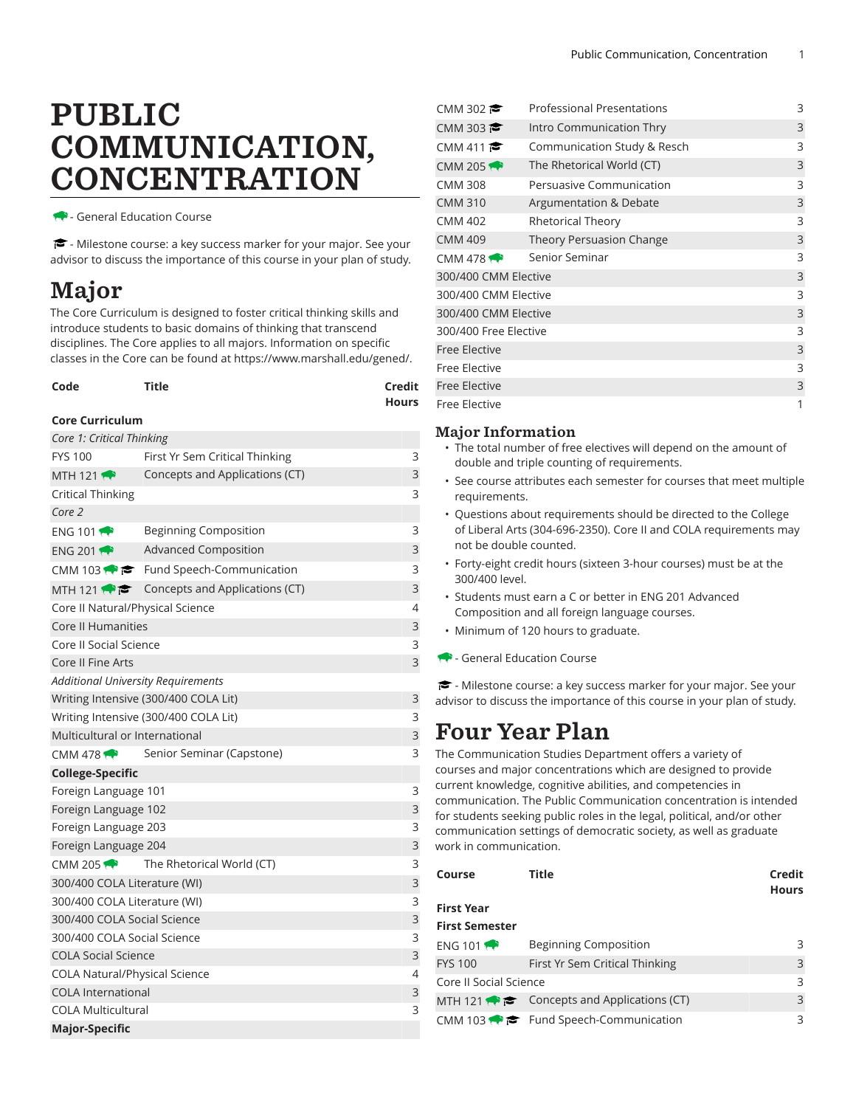# PUBLIC COMMUNICATION, CONCENTRATION

- General Education Course

- Milestone course: a key success marker for your major. See your advisor to discuss the importance of this course in your plan of study.

## Major

The Core Curriculum is designed to foster critical thinking skills and introduce students to basic domains of thinking that transcend disciplines. The Core applies to all majors. Information on specific classes in the Core can be found at [https://www.marshall.edu/gened/.](https://www.marshall.edu/gened/)

| Code | <b>Title</b> | Credit       |
|------|--------------|--------------|
|      |              | <b>Hours</b> |

#### **Core Curriculum**

| Core 1: Critical Thinking                 |                                                          |   |  |  |  |
|-------------------------------------------|----------------------------------------------------------|---|--|--|--|
| <b>FYS 100</b>                            | First Yr Sem Critical Thinking                           |   |  |  |  |
| MTH 121 $\rightarrow$                     | Concepts and Applications (CT)                           |   |  |  |  |
| <b>Critical Thinking</b>                  |                                                          |   |  |  |  |
| Core 2                                    |                                                          |   |  |  |  |
| <b>ENG 1011</b>                           | <b>Beginning Composition</b>                             |   |  |  |  |
| ENG 201                                   | <b>Advanced Composition</b>                              | 3 |  |  |  |
|                                           | CMM 103 $\bullet \bullet$ Fund Speech-Communication      | 3 |  |  |  |
|                                           | MTH 121 $\bullet \bullet$ Concepts and Applications (CT) | 3 |  |  |  |
| Core II Natural/Physical Science          |                                                          |   |  |  |  |
| <b>Core II Humanities</b>                 |                                                          | 3 |  |  |  |
| Core II Social Science                    |                                                          | 3 |  |  |  |
| Core II Fine Arts                         |                                                          | 3 |  |  |  |
| <b>Additional University Requirements</b> |                                                          |   |  |  |  |
|                                           | Writing Intensive (300/400 COLA Lit)                     | 3 |  |  |  |
|                                           | Writing Intensive (300/400 COLA Lit)                     | 3 |  |  |  |
| Multicultural or International            |                                                          | 3 |  |  |  |
| CMM 478 $\rightarrow$                     | Senior Seminar (Capstone)                                | 3 |  |  |  |
| <b>College-Specific</b>                   |                                                          |   |  |  |  |
| Foreign Language 101                      |                                                          |   |  |  |  |
| Foreign Language 102                      |                                                          | 3 |  |  |  |
| Foreign Language 203                      |                                                          |   |  |  |  |
| Foreign Language 204                      |                                                          | 3 |  |  |  |
| $CMM$ 205                                 | The Rhetorical World (CT)                                | 3 |  |  |  |
| 300/400 COLA Literature (WI)              |                                                          | 3 |  |  |  |
| 300/400 COLA Literature (WI)              |                                                          | 3 |  |  |  |
| 300/400 COLA Social Science               |                                                          | 3 |  |  |  |
| 300/400 COLA Social Science               |                                                          |   |  |  |  |
| <b>COLA Social Science</b>                |                                                          |   |  |  |  |
| <b>COLA Natural/Physical Science</b>      |                                                          |   |  |  |  |
| <b>COLA International</b>                 |                                                          |   |  |  |  |
| <b>COLA Multicultural</b>                 |                                                          |   |  |  |  |
| <b>Major-Specific</b>                     |                                                          |   |  |  |  |

| <b>Professional Presentations</b><br>CMM 302 |                             |   |  |
|----------------------------------------------|-----------------------------|---|--|
| CMM 303                                      | Intro Communication Thry    | 3 |  |
| CMM 411                                      | Communication Study & Resch | 3 |  |
| CMM 205 $\leftrightarrow$                    | The Rhetorical World (CT)   | 3 |  |
| CMM 308                                      | Persuasive Communication    | 3 |  |
| <b>CMM 310</b><br>Argumentation & Debate     |                             |   |  |
| <b>CMM 402</b>                               | Rhetorical Theory           | 3 |  |
| <b>CMM 409</b><br>Theory Persuasion Change   |                             |   |  |
| CMM 478 $\leftrightarrow$                    | Senior Seminar              | 3 |  |
| 300/400 CMM Elective                         |                             |   |  |
| 300/400 CMM Elective                         |                             |   |  |
| 300/400 CMM Elective                         |                             |   |  |
| 300/400 Free Elective                        |                             |   |  |
| <b>Free Elective</b>                         |                             |   |  |
| Free Elective                                |                             |   |  |
| <b>Free Elective</b>                         |                             |   |  |
| Free Elective                                |                             |   |  |

### Major Information

- The total number of free electives will depend on the amount of double and triple counting of requirements.
- See course attributes each semester for courses that meet multiple requirements.
- Questions about requirements should be directed to the College of Liberal Arts (304-696-2350). Core II and COLA requirements may not be double counted.
- Forty-eight credit hours (sixteen 3-hour courses) must be at the 300/400 level.
- Students must earn a C or better in ENG 201 Advanced Composition and all foreign language courses.
- Minimum of 120 hours to graduate.
- General Education Course

- Milestone course: a key success marker for your major. See your advisor to discuss the importance of this course in your plan of study.

### Four Year Plan

The Communication Studies Department offers a variety of courses and major concentrations which are designed to provide current knowledge, cognitive abilities, and competencies in communication. The Public Communication concentration is intended for students seeking public roles in the legal, political, and/or other communication settings of democratic society, as well as graduate work in communication.

| Course                 | Title                                                      | Credit<br><b>Hours</b> |
|------------------------|------------------------------------------------------------|------------------------|
| <b>First Year</b>      |                                                            |                        |
| <b>First Semester</b>  |                                                            |                        |
| ENG 101                | Beginning Composition                                      | 3                      |
| <b>FYS 100</b>         | First Yr Sem Critical Thinking                             | 3                      |
| Core II Social Science |                                                            |                        |
|                        | MTH 121 $\bullet$ $\bullet$ Concepts and Applications (CT) | 3                      |
|                        | CMM 103 $\bullet \bullet$ Fund Speech-Communication        | ς                      |